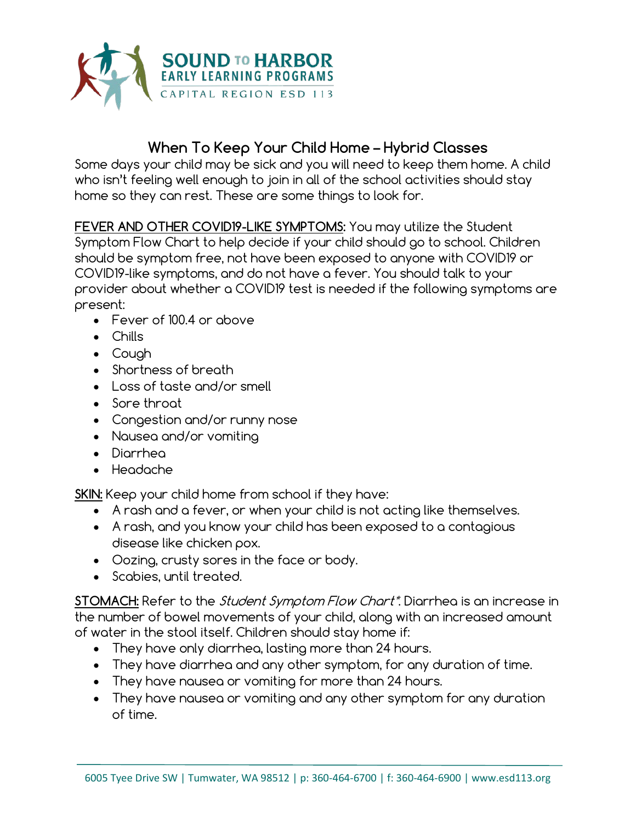

## **When To Keep Your Child Home – Hybrid Classes**

Some days your child may be sick and you will need to keep them home. A child who isn't feeling well enough to join in all of the school activities should stay home so they can rest. These are some things to look for.

**FEVER AND OTHER COVID19-LIKE SYMPTOMS:** You may utilize the Student Symptom Flow Chart to help decide if your child should go to school. Children should be symptom free, not have been exposed to anyone with COVID19 or COVID19-like symptoms, and do not have a fever. You should talk to your provider about whether a COVID19 test is needed if the following symptoms are present:

- Fever of 100.4 or above
- Chills
- Cough
- Shortness of breath
- Loss of taste and/or smell
- Sore throat
- Congestion and/or runny nose
- Nausea and/or vomiting
- Diarrhea
- Headache

**SKIN:** Keep your child home from school if they have:

- A rash and a fever, or when your child is not acting like themselves.
- A rash, and you know your child has been exposed to a contagious disease like chicken pox.
- Oozing, crusty sores in the face or body.
- Scabies, until treated.

**STOMACH:** Refer to the Student Symptom Flow Chart\*. Diarrhea is an increase in the number of bowel movements of your child, along with an increased amount of water in the stool itself. Children should stay home if:

- They have only diarrhea, lasting more than 24 hours.
- They have diarrhea and any other symptom, for any duration of time.
- They have nausea or vomiting for more than 24 hours.
- They have nausea or vomiting and any other symptom for any duration of time.